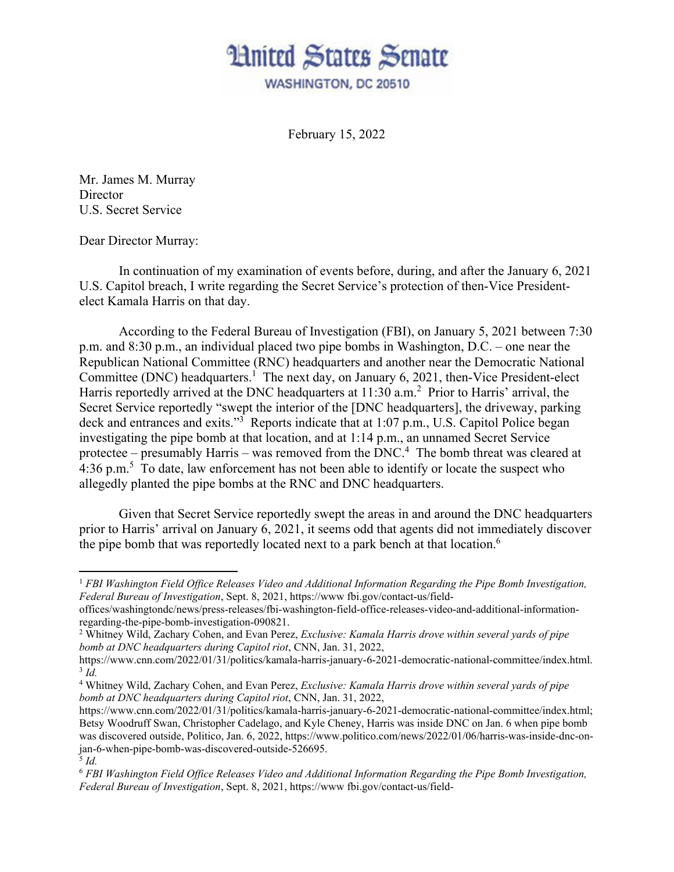

February 15, 2022

Mr. James M. Murray **Director** U.S. Secret Service

Dear Director Murray:

1

 In continuation of my examination of events before, during, and after the January 6, 2021 U.S. Capitol breach, I write regarding the Secret Service's protection of then-Vice Presidentelect Kamala Harris on that day.

According to the Federal Bureau of Investigation (FBI), on January 5, 2021 between 7:30 p.m. and 8:30 p.m., an individual placed two pipe bombs in Washington, D.C. – one near the Republican National Committee (RNC) headquarters and another near the Democratic National Committee (DNC) headquarters.<sup>1</sup> The next day, on January 6, 2021, then-Vice President-elect Harris reportedly arrived at the DNC headquarters at 11:30 a.m.<sup>2</sup> Prior to Harris' arrival, the Secret Service reportedly "swept the interior of the [DNC headquarters], the driveway, parking deck and entrances and exits."<sup>3</sup> Reports indicate that at 1:07 p.m., U.S. Capitol Police began investigating the pipe bomb at that location, and at 1:14 p.m., an unnamed Secret Service protectee – presumably Harris – was removed from the  $DNC<sup>4</sup>$ . The bomb threat was cleared at 4:36 p.m.<sup>5</sup> To date, law enforcement has not been able to identify or locate the suspect who allegedly planted the pipe bombs at the RNC and DNC headquarters.

Given that Secret Service reportedly swept the areas in and around the DNC headquarters prior to Harris' arrival on January 6, 2021, it seems odd that agents did not immediately discover the pipe bomb that was reportedly located next to a park bench at that location.<sup>6</sup>

<sup>1</sup> *FBI Washington Field Office Releases Video and Additional Information Regarding the Pipe Bomb Investigation, Federal Bureau of Investigation*, Sept. 8, 2021, https://www fbi.gov/contact-us/field-

offices/washingtondc/news/press-releases/fbi-washington-field-office-releases-video-and-additional-informationregarding-the-pipe-bomb-investigation-090821.

<sup>2</sup> Whitney Wild, Zachary Cohen, and Evan Perez, *Exclusive: Kamala Harris drove within several yards of pipe bomb at DNC headquarters during Capitol riot*, CNN, Jan. 31, 2022,

https://www.cnn.com/2022/01/31/politics/kamala-harris-january-6-2021-democratic-national-committee/index.html. 3 *Id.* 

<sup>4</sup> Whitney Wild, Zachary Cohen, and Evan Perez, *Exclusive: Kamala Harris drove within several yards of pipe bomb at DNC headquarters during Capitol riot*, CNN, Jan. 31, 2022,

https://www.cnn.com/2022/01/31/politics/kamala-harris-january-6-2021-democratic-national-committee/index.html; Betsy Woodruff Swan, Christopher Cadelago, and Kyle Cheney, Harris was inside DNC on Jan. 6 when pipe bomb was discovered outside, Politico, Jan. 6, 2022, https://www.politico.com/news/2022/01/06/harris-was-inside-dnc-onjan-6-when-pipe-bomb-was-discovered-outside-526695.  $\frac{5}{3}$  *Id.* 

<sup>6</sup> *FBI Washington Field Office Releases Video and Additional Information Regarding the Pipe Bomb Investigation, Federal Bureau of Investigation*, Sept. 8, 2021, https://www fbi.gov/contact-us/field-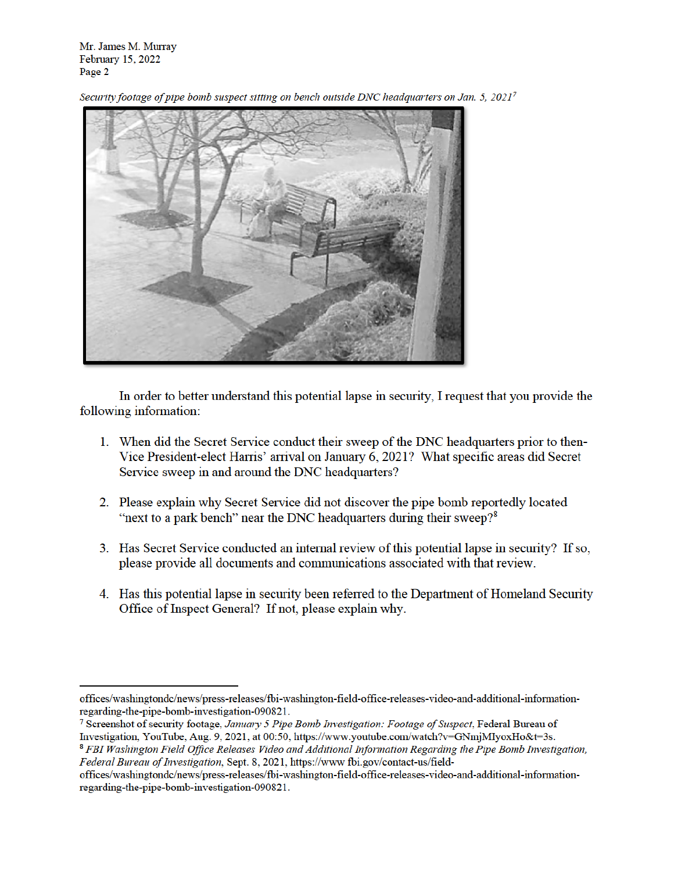Mr. James M. Murray February 15, 2022 Page 2

Security footage of pipe bomb suspect sitting on bench outside DNC headquarters on Jan. 5, 20217



In order to better understand this potential lapse in security, I request that you provide the following information:

- 1. When did the Secret Service conduct their sweep of the DNC headquarters prior to then-Vice President-elect Harris' arrival on January 6, 2021? What specific areas did Secret Service sweep in and around the DNC headquarters?
- 2. Please explain why Secret Service did not discover the pipe bomb reportedly located "next to a park bench" near the DNC headquarters during their sweep?<sup>8</sup>
- 3. Has Secret Service conducted an internal review of this potential lapse in security? If so, please provide all documents and communications associated with that review.
- 4. Has this potential lapse in security been referred to the Department of Homeland Security Office of Inspect General? If not, please explain why.

offices/washingtondc/news/press-releases/fbi-washington-field-office-releases-video-and-additional-informationregarding-the-pipe-bomb-investigation-090821.

<sup>&</sup>lt;sup>7</sup> Screenshot of security footage, January 5 Pipe Bomb Investigation: Footage of Suspect, Federal Bureau of Investigation, YouTube, Aug. 9, 2021, at 00:50, https://www.youtube.com/watch?v=GNmjMIyoxHo&t=3s.

<sup>&</sup>lt;sup>8</sup> FBI Washington Field Office Releases Video and Additional Information Regarding the Pipe Bomb Investigation, Federal Bureau of Investigation, Sept. 8, 2021, https://www.fbi.gov/contact-us/field-

offices/washingtondc/news/press-releases/fbi-washington-field-office-releases-video-and-additional-informationregarding-the-pipe-bomb-investigation-090821.